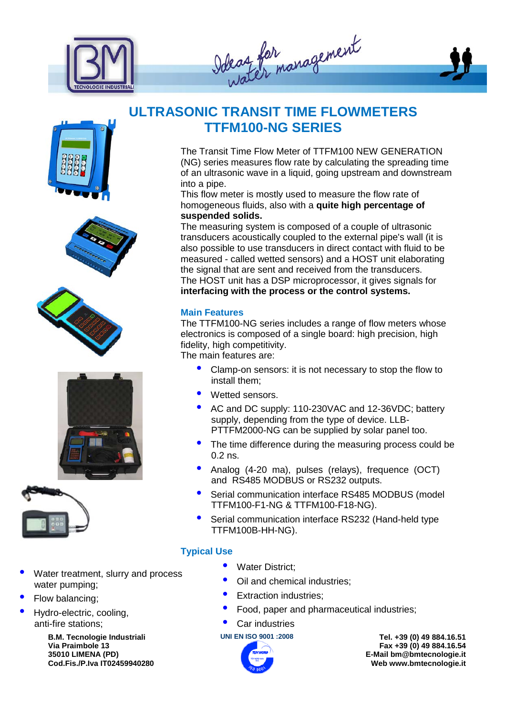

Ideaz for management













- Water treatment, slurry and process water pumping;
- Flow balancing;
- Hydro-electric, cooling, anti-fire stations;

**B.M. Tecnologie Industriali Via Praimbole 13 35010 LIMENA (PD) Cod.Fis./P.Iva IT02459940280**

## **ULTRASONIC TRANSIT TIME FLOWMETERS TTFM100-NG SERIES**

The Transit Time Flow Meter of TTFM100 NEW GENERATION (NG) series measures flow rate by calculating the spreading time of an ultrasonic wave in a liquid, going upstream and downstream into a pipe.

This flow meter is mostly used to measure the flow rate of homogeneous fluids, also with a **quite high percentage of suspended solids.**

The measuring system is composed of a couple of ultrasonic transducers acoustically coupled to the external pipe's wall (it is also possible to use transducers in direct contact with fluid to be measured - called wetted sensors) and a HOST unit elaborating the signal that are sent and received from the transducers. The HOST unit has a DSP microprocessor, it gives signals for **interfacing with the process or the control systems.**

#### **Main Features**

The TTFM100-NG series includes a range of flow meters whose electronics is composed of a single board: high precision, high fidelity, high competitivity.

The main features are:

- Clamp-on sensors: it is not necessary to stop the flow to install them;
- Wetted sensors.
- AC and DC supply: 110-230VAC and 12-36VDC; battery supply, depending from the type of device. LLB-PTTFM2000-NG can be supplied by solar panel too.
- The time difference during the measuring process could be 0.2 ns.
- Analog (4-20 ma), pulses (relays), frequence (OCT) and RS485 MODBUS or RS232 outputs.
- Serial communication interface RS485 MODBUS (model TTFM100-F1-NG & TTFM100-F18-NG).
- Serial communication interface RS232 (Hand-held type TTFM100B-HH-NG).

#### **Typical Use**

- Water District;
- Oil and chemical industries;
- Extraction industries;
- Food, paper and pharmaceutical industries;

#### Car industries



**UNI EN ISO 9001 :2008 Tel. +39 (0) 49 884.16.51 Fax +39 (0) 49 884.16.54 E-Mail bm@bmtecnologie.it Web www.bmtecnologie.it**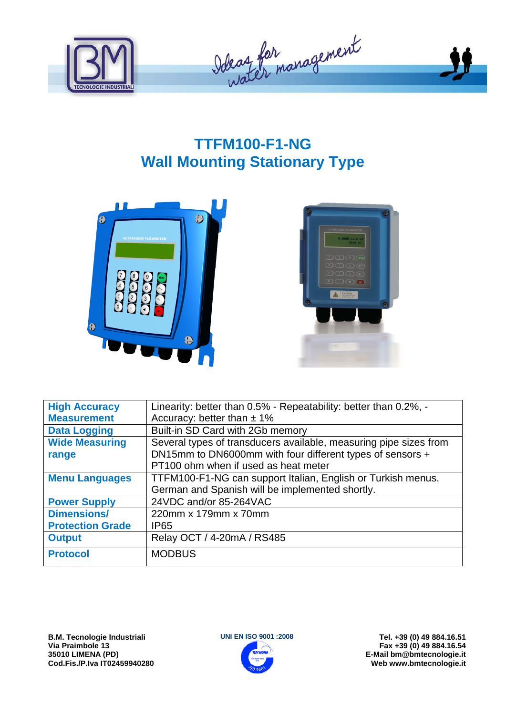

## **TTFM100-F1-NG Wall Mounting Stationary Type**





| <b>High Accuracy</b>    | Linearity: better than 0.5% - Repeatability: better than 0.2%, -  |
|-------------------------|-------------------------------------------------------------------|
| <b>Measurement</b>      | Accuracy: better than $\pm$ 1%                                    |
| <b>Data Logging</b>     | Built-in SD Card with 2Gb memory                                  |
| <b>Wide Measuring</b>   | Several types of transducers available, measuring pipe sizes from |
| range                   | DN15mm to DN6000mm with four different types of sensors +         |
|                         | PT100 ohm when if used as heat meter                              |
| <b>Menu Languages</b>   | TTFM100-F1-NG can support Italian, English or Turkish menus.      |
|                         | German and Spanish will be implemented shortly.                   |
| <b>Power Supply</b>     | 24VDC and/or 85-264VAC                                            |
| <b>Dimensions/</b>      | 220mm x 179mm x 70mm                                              |
| <b>Protection Grade</b> | IP <sub>65</sub>                                                  |
| <b>Output</b>           | Relay OCT / 4-20mA / RS485                                        |
| <b>Protocol</b>         | <b>MODBUS</b>                                                     |

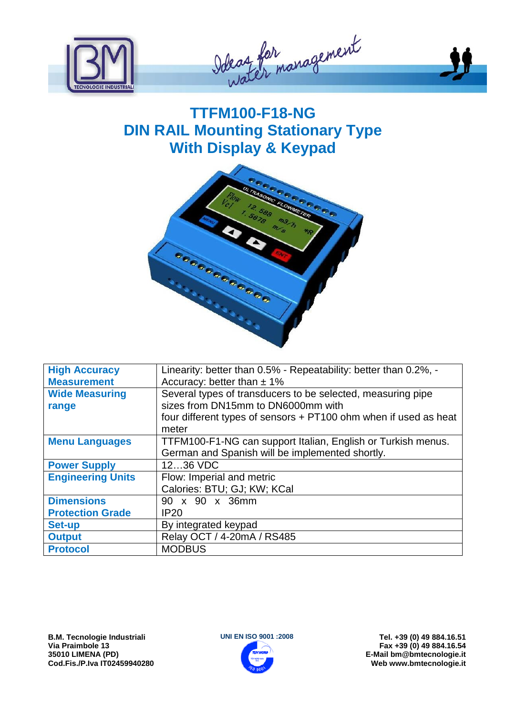

Odeaz for management

# **TTFM100-F18-NG DIN RAIL Mounting Stationary Type With Display & Keypad**



| <b>High Accuracy</b>     | Linearity: better than 0.5% - Repeatability: better than 0.2%, - |
|--------------------------|------------------------------------------------------------------|
| <b>Measurement</b>       | Accuracy: better than $\pm$ 1%                                   |
| <b>Wide Measuring</b>    | Several types of transducers to be selected, measuring pipe      |
| range                    | sizes from DN15mm to DN6000mm with                               |
|                          | four different types of sensors + PT100 ohm when if used as heat |
|                          | meter                                                            |
| <b>Menu Languages</b>    | TTFM100-F1-NG can support Italian, English or Turkish menus.     |
|                          | German and Spanish will be implemented shortly.                  |
| <b>Power Supply</b>      | 1236 VDC                                                         |
| <b>Engineering Units</b> | Flow: Imperial and metric                                        |
|                          | Calories: BTU; GJ; KW; KCal                                      |
| <b>Dimensions</b>        | 90 x 90 x 36mm                                                   |
| <b>Protection Grade</b>  | <b>IP20</b>                                                      |
| <b>Set-up</b>            | By integrated keypad                                             |
| <b>Output</b>            | Relay OCT / 4-20mA / RS485                                       |
| <b>Protocol</b>          | <b>MODBUS</b>                                                    |

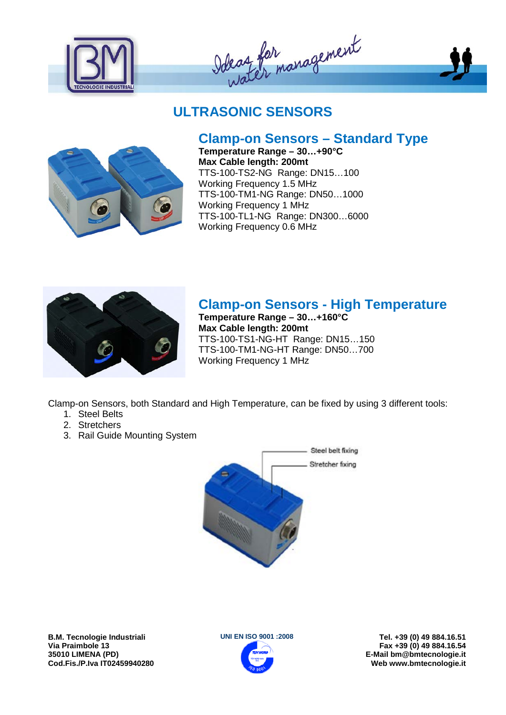







## **Clamp-on Sensors – Standard Type**

**Temperature Range – 30…+90°C Max Cable length: 200mt** TTS-100-TS2-NG Range: DN15…100 Working Frequency 1.5 MHz TTS-100-TM1-NG Range: DN50…1000 Working Frequency 1 MHz TTS-100-TL1-NG Range: DN300…6000 Working Frequency 0.6 MHz



### **Clamp-on Sensors - High Temperature**

**Temperature Range – 30…+160°C Max Cable length: 200mt** TTS-100-TS1-NG-HT Range: DN15…150 TTS-100-TM1-NG-HT Range: DN50…700 Working Frequency 1 MHz

Clamp-on Sensors, both Standard and High Temperature, can be fixed by using 3 different tools:

- 1. Steel Belts
- 2. Stretchers
- 3. Rail Guide Mounting System



**B.M. Tecnologie Industriali Via Praimbole 13 35010 LIMENA (PD) Cod.Fis./P.Iva IT02459940280**



**UNI EN ISO 9001 :2008 Tel. +39 (0) 49 884.16.51 Fax +39 (0) 49 884.16.54 E-Mail bm@bmtecnologie.it Web www.bmtecnologie.it**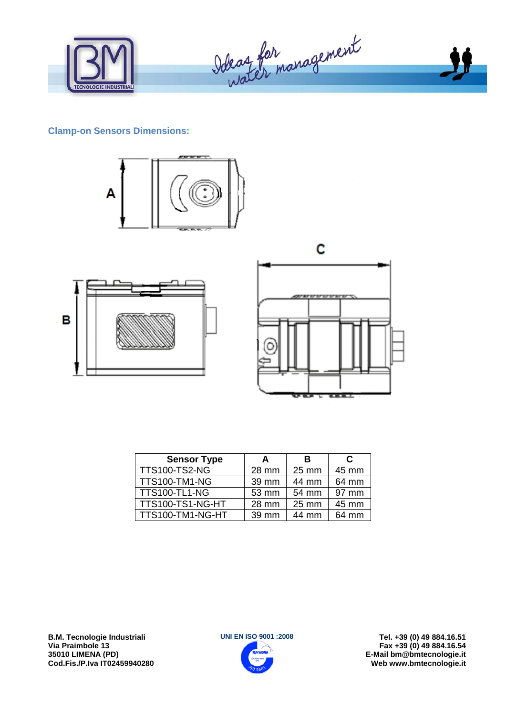

#### **Clamp-on Sensors Dimensions:**







| <b>Sensor Type</b>   | A     | в               | C     |
|----------------------|-------|-----------------|-------|
| <b>TTS100-TS2-NG</b> | 28 mm | 25 mm           | 45 mm |
| <b>TTS100-TM1-NG</b> | 39 mm | 44 mm           | 64 mm |
| <b>TTS100-TL1-NG</b> | 53 mm | 54 mm           | 97 mm |
| TTS100-TS1-NG-HT     | 28 mm | $25 \text{ mm}$ | 45 mm |
| TTS100-TM1-NG-HT     | 39 mm | 44 mm           | 64 mm |

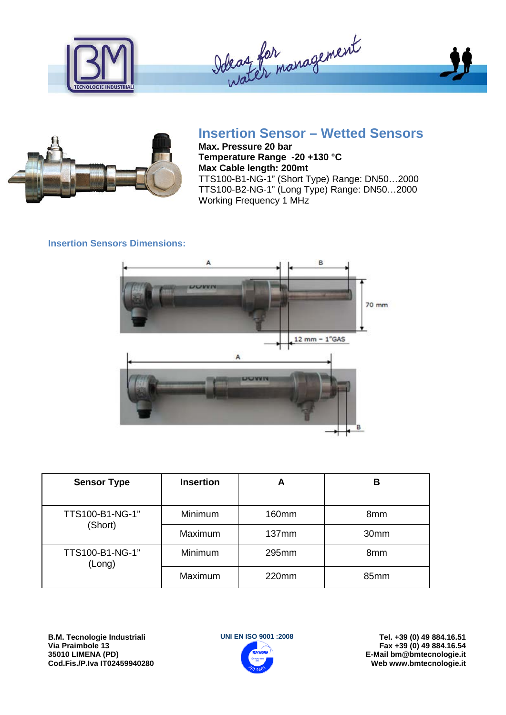



## **Insertion Sensor – Wetted Sensors**

**Max. Pressure 20 bar Temperature Range -20 +130 °C Max Cable length: 200mt** TTS100-B1-NG-1" (Short Type) Range: DN50…2000 TTS100-B2-NG-1" (Long Type) Range: DN50…2000 Working Frequency 1 MHz

#### **Insertion Sensors Dimensions:**



| <b>Sensor Type</b>        | <b>Insertion</b> | A     | в    |
|---------------------------|------------------|-------|------|
| TTS100-B1-NG-1"           | Minimum          | 160mm | 8mm  |
| (Short)                   | Maximum          | 137mm | 30mm |
| TTS100-B1-NG-1"<br>(Long) | Minimum          | 295mm | 8mm  |
|                           | Maximum          | 220mm | 85mm |

**B.M. Tecnologie Industriali Via Praimbole 13 35010 LIMENA (PD) Cod.Fis./P.Iva IT02459940280**



**UNI EN ISO 9001 :2008 Tel. +39 (0) 49 884.16.51 Fax +39 (0) 49 884.16.54 E-Mail bm@bmtecnologie.it Web www.bmtecnologie.it**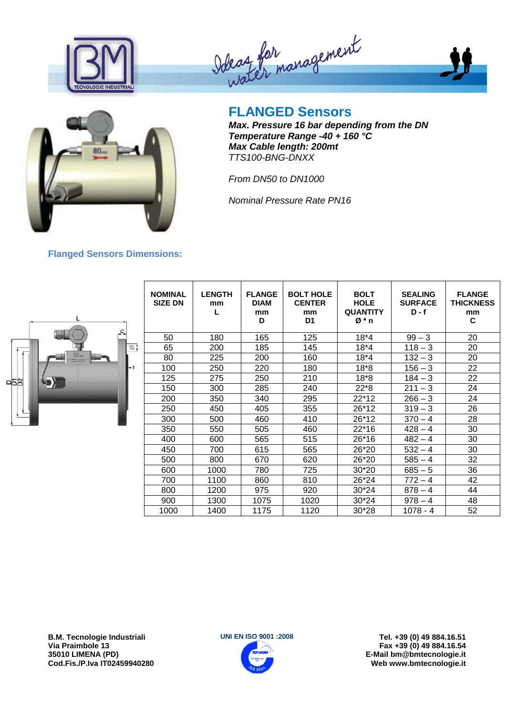





**Flanged Sensors Dimensions:** 

# **FLANGED Sensors**

*Max. Pressure 16 bar depending from the DN Temperature Range -40 + 160 °C Max Cable length: 200mt TTS100-BNG-DNXX*

*From DN50 to DN1000*

*Nominal Pressure Rate PN16*

# $\overline{\mathbb{Z}}$ 922

| <b>NOMINAL</b><br><b>SIZE DN</b> | <b>LENGTH</b><br>mm<br>L | <b>FLANGE</b><br><b>DIAM</b><br>mm<br>D | <b>BOLT HOLE</b><br><b>CENTER</b><br>mm<br>D <sub>1</sub> | <b>BOLT</b><br><b>HOLE</b><br><b>QUANTITY</b><br>Ø*n | <b>SEALING</b><br><b>SURFACE</b><br>$D - f$ | <b>FLANGE</b><br><b>THICKNESS</b><br>mm<br>C |
|----------------------------------|--------------------------|-----------------------------------------|-----------------------------------------------------------|------------------------------------------------------|---------------------------------------------|----------------------------------------------|
| 50                               | 180                      | 165                                     | 125                                                       | $18*4$                                               | $99 - 3$                                    | 20                                           |
| 65                               | 200                      | 185                                     | 145                                                       | $18*4$                                               | $118 - 3$                                   | 20                                           |
| 80                               | 225                      | 200                                     | 160                                                       | $18*4$                                               | $132 - 3$                                   | 20                                           |
| 100                              | 250                      | 220                                     | 180                                                       | $18*8$                                               | $156 - 3$                                   | 22                                           |
| 125                              | 275                      | 250                                     | 210                                                       | $18*8$                                               | $184 - 3$                                   | 22                                           |
| 150                              | 300                      | 285                                     | 240                                                       | $22*8$                                               | $211 - 3$                                   | 24                                           |
| 200                              | 350                      | 340                                     | 295                                                       | 22*12                                                | $266 - 3$                                   | 24                                           |
| 250                              | 450                      | 405                                     | 355                                                       | 26*12                                                | $319 - 3$                                   | 26                                           |
| 300                              | 500                      | 460                                     | 410                                                       | 26*12                                                | $370 - 4$                                   | 28                                           |
| 350                              | 550                      | 505                                     | 460                                                       | $22*16$                                              | $428 - 4$                                   | 30                                           |
| 400                              | 600                      | 565                                     | 515                                                       | 26*16                                                | $482 - 4$                                   | 30                                           |
| 450                              | 700                      | 615                                     | 565                                                       | 26*20                                                | $532 - 4$                                   | 30                                           |
| 500                              | 800                      | 670                                     | 620                                                       | 26*20                                                | $585 - 4$                                   | 32                                           |
| 600                              | 1000                     | 780                                     | 725                                                       | 30*20                                                | $685 - 5$                                   | 36                                           |
| 700                              | 1100                     | 860                                     | 810                                                       | 26*24                                                | $772 - 4$                                   | 42                                           |
| 800                              | 1200                     | 975                                     | 920                                                       | 30*24                                                | $878 - 4$                                   | 44                                           |
| 900                              | 1300                     | 1075                                    | 1020                                                      | 30*24                                                | $978 - 4$                                   | 48                                           |
| 1000                             | 1400                     | 1175                                    | 1120                                                      | 30*28                                                | 1078 - 4                                    | 52                                           |

**B.M. Tecnologie Industriali Via Praimbole 13 35010 LIMENA (PD) Cod.Fis./P.Iva IT02459940280**

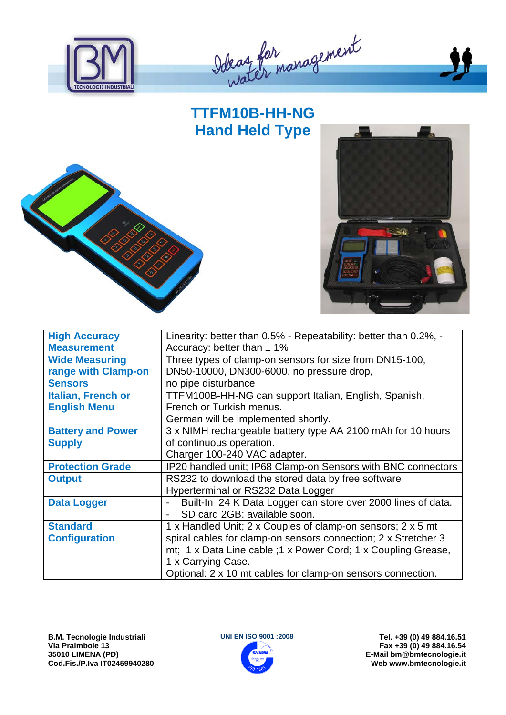

Ideas for management

## **TTFM10B-HH-NG Hand Held Type**





| <b>High Accuracy</b>      | Linearity: better than 0.5% - Repeatability: better than 0.2%, -                         |
|---------------------------|------------------------------------------------------------------------------------------|
| <b>Measurement</b>        | Accuracy: better than $\pm$ 1%                                                           |
| <b>Wide Measuring</b>     | Three types of clamp-on sensors for size from DN15-100,                                  |
| range with Clamp-on       | DN50-10000, DN300-6000, no pressure drop,                                                |
| <b>Sensors</b>            | no pipe disturbance                                                                      |
| <b>Italian, French or</b> | TTFM100B-HH-NG can support Italian, English, Spanish,                                    |
| <b>English Menu</b>       | French or Turkish menus.                                                                 |
|                           | German will be implemented shortly.                                                      |
| <b>Battery and Power</b>  | 3 x NIMH rechargeable battery type AA 2100 mAh for 10 hours                              |
| <b>Supply</b>             | of continuous operation.                                                                 |
|                           | Charger 100-240 VAC adapter.                                                             |
| <b>Protection Grade</b>   | IP20 handled unit; IP68 Clamp-on Sensors with BNC connectors                             |
| <b>Output</b>             | RS232 to download the stored data by free software                                       |
|                           | Hyperterminal or RS232 Data Logger                                                       |
| <b>Data Logger</b>        | Built-In 24 K Data Logger can store over 2000 lines of data.<br>$\overline{\phantom{a}}$ |
|                           | SD card 2GB: available soon.                                                             |
| <b>Standard</b>           | 1 x Handled Unit; 2 x Couples of clamp-on sensors; 2 x 5 mt                              |
| <b>Configuration</b>      | spiral cables for clamp-on sensors connection; 2 x Stretcher 3                           |
|                           | mt; 1 x Data Line cable ; 1 x Power Cord; 1 x Coupling Grease,                           |
|                           | 1 x Carrying Case.                                                                       |
|                           | Optional: 2 x 10 mt cables for clamp-on sensors connection.                              |